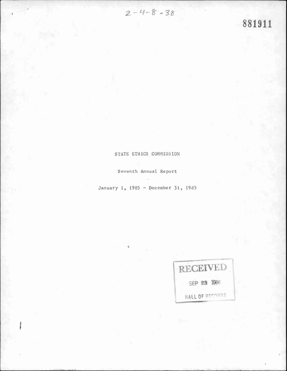$2 - 4 - 8 - 38$ 

**881911** 

## STATE ETHICS COMMISSION

Seventh Annual Report

January 1, 1985 - December 31, 1935

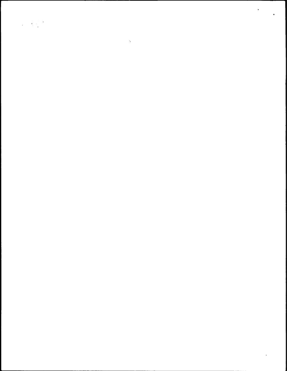## 

 $\mathcal{L}^{\pm}$ 

 $\frac{1}{\sqrt{2}}\left(\frac{1}{\sqrt{2}}\right)$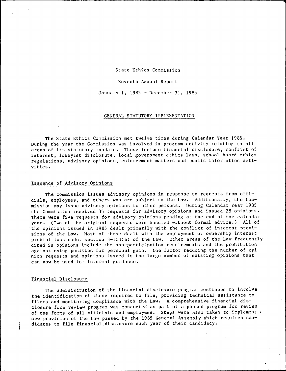State Ethics Commission

#### Seventh Annual Report

January 1, 1985 - December 31, 1985

## GENERAL STATUTORY IMPLEMENTATION

The State Ethics Commission met twelve times during Calendar Year 1985. During the year the Commission was involved in program activity relating to all areas of its statutory mandate. These include financial disclosure, conflict of interest, lobbyist disclosure, local government ethics laws, school board ethics regulations, advisory opinions, enforcement matters and public information activities.

## Issuance of Advisory Opinions

The Commission issues advisory opinions in response to requests from officials, employees, and others who are subject to the Law. Additionally, the Commission may issue advisory opinions to other persons. During Calendar Year 1985 the Commission received 35 requests for advisory opinions and issued 28 opinions. There were five requests for advisory opinions pending at the end of the calendar year. (Two of the original requests were handled without formal advice.) All of the opinions issued in 1985 dealt primarily with the conflict of interest provisions of the Law. Most of these dealt with the employment or ownership interest prohibitions under section 3-103(a) of the Law. Other areas of the Law frequently cited in opinions include the non-participation requirements and the prohibition against using position for personal gain. One factor reducing the number of opinion requests and opinions issued is the large number of existing opinions that can now be used for informal guidance.

#### Financial Disclosure

The administration of the financial disclosure program continued to involve the identification of those required to file, providing technical.assistance to filers and monitoring compliance with the Law. A comprehensive financial disclosure form review program was conducted as part of a phased program for review of the forms of all officials and employees. Steps were also taken to implement a new provision of the Law passed by the 1985 General Assembly which requires candidates to file financial disclosure each year of their candidacy.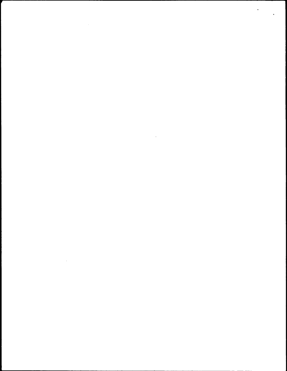$\label{eq:2.1} \frac{1}{\sqrt{2}}\int_{\mathbb{R}^3}\frac{1}{\sqrt{2}}\left(\frac{1}{\sqrt{2}}\right)^2\frac{1}{\sqrt{2}}\left(\frac{1}{\sqrt{2}}\right)^2\frac{1}{\sqrt{2}}\left(\frac{1}{\sqrt{2}}\right)^2\frac{1}{\sqrt{2}}\left(\frac{1}{\sqrt{2}}\right)^2.$  $\label{eq:2.1} \mathcal{L}(\mathcal{L}^{\text{max}}_{\mathcal{L}}(\mathcal{L}^{\text{max}}_{\mathcal{L}}(\mathcal{L}^{\text{max}}_{\mathcal{L}}(\mathcal{L}^{\text{max}}_{\mathcal{L}^{\text{max}}_{\mathcal{L}}(\mathcal{L}^{\text{max}}_{\mathcal{L}^{\text{max}}_{\mathcal{L}^{\text{max}}_{\mathcal{L}^{\text{max}}_{\mathcal{L}^{\text{max}}_{\mathcal{L}^{\text{max}}_{\mathcal{L}^{\text{max}}_{\mathcal{L}^{\text{max}}_{\mathcal{L}^{\text{max}}$ 

 $\mathcal{O}(\mathcal{E}_{\mathcal{A}})$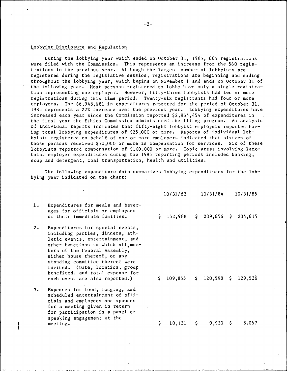### Lobbyist Disclosure and Regulation

During the lobbying year which ended on October 31, 1985, 665 registrations were filed with the Commission. This represents an increase from the 560 registrations in the previous year. Although the largest number of lobbyists are registered during the legislative session, registrations are beginning and ending throughout the lobbying year, which begins on November 1 and ends on October 31 of the following year. Most persons registered to lobby have only a single registration representing one employer. However, fifty-three lobbyists had two or more registrations during this time period. Twenty-six registrants had four or more employers. The \$6,948,681 in expenditures reported for the period of October 31, 1985 represents a 22% increase over the previous year. Lobbying expenditures have increased each year since the Commission reported \$2,864,454 of expenditures in the first year the Ethics Commission administered the filing program. An analysis of individual reports indicates that fifty-eight lobbyist employers reported having total lobbying expenditures of \$25,000 or more. Reports of individual lobbyists registered on behalf of one or more employers indicated that sixteen of these persons received \$50,000 or more in compensation for services. Six of these lobbyists reported compensation of \$100,000 or more. Topic areas involving large total employer expenditures during the 1985 reporting periods included banking, soap and detergent, coal transportation, health and utilities.

The following expenditure data summarizes lobbying expenditures for the lobbying year indicated on the chart:

|                                                                                                                                     | 10/31/84<br>10/31/83 |                                  |  | 10/31/85                      |  |       |  |
|-------------------------------------------------------------------------------------------------------------------------------------|----------------------|----------------------------------|--|-------------------------------|--|-------|--|
| and bever-<br>employees<br>ilies.                                                                                                   |                      | $$152,988$ $$209,656$ $$234,615$ |  |                               |  |       |  |
| al events,<br>ners, ath-<br>nment, and<br>ch $all$ , mem-<br>sembly,<br>or any<br>reof were<br>ion, group<br>xpense for<br>ported.) | $\mathsf{S}$         |                                  |  | 109,855 \$ 120,598 \$ 129,536 |  |       |  |
| ging, and<br>t of offi-<br>d spouses<br>return :<br>panel or<br>the                                                                 |                      |                                  |  |                               |  |       |  |
|                                                                                                                                     | \$                   | $10,131$ \$                      |  | $9,930$ \$                    |  | 8,067 |  |

- 1. Expenditures for meals ages for officials or or their immediate fam
- 2. Expenditures for speciincluding parties, dine letic events, entertai other functions to whi bers of the General As either house thereof, standing committee the invited. (Date, location, benefited, and total e each event are also re
- 3. Expenses for food, lodg scheduled entertainmen cials and employees and for a meeting given in for participation in a speaking engagement at meeting.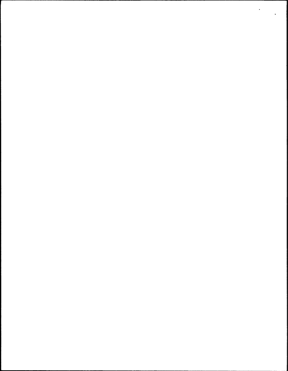$\ddot{\phantom{0}}$  $\sim 10^{11}$  km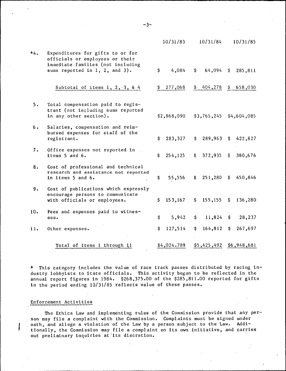|            |                                                                                                                                            |              | 10/31/83    |   | 10/31/84                  | 10/31/85 |
|------------|--------------------------------------------------------------------------------------------------------------------------------------------|--------------|-------------|---|---------------------------|----------|
| $\star$ 4. | Expenditures for gifts to or for<br>officials or employees or their<br>immediate families (not including<br>sums reported in 1, 2, and 3). | \$           | 4,084       |   | $$64,094$ \$ 285,811      |          |
|            | Subtotal of items $1, 2, 3, 6, 4$                                                                                                          |              | \$277,068   |   | $$404,278$ $$658,030$     |          |
| 5.         | Total compensation paid to regis-<br>trant (not including sums reported<br>in any other section).                                          |              | \$2,868,090 |   | \$3,765,245 \$4,604,085   |          |
| 6.         | Salaries, compensation and reim-<br>bursed expenses for staff of the<br>registrant.                                                        | S            | 283,327     |   | $$289,963$$ \$ 422,827    |          |
| 7.         | Office expenses not reported in<br>items 5 and 6.                                                                                          | $\mathsf{S}$ | 254,125     |   | $$372,935$ $$380,676$     |          |
| 8.         | Cost of professional and technical<br>research and assistance not reported<br>in items 5 and 6.                                            | \$           | 55,556      |   | $$251,280$ $$450,846$     |          |
| 9.         | Cost of publications which expressly<br>encourage persons to communicate<br>with officials or employees.                                   | \$.          | 153,167     |   | $$155,155$ \$             | 136,280  |
| 10.        | Fees and expenses paid to witnes-<br>ses.                                                                                                  | \$           | 5,942       |   | $$11,824$ \$              | 28,237   |
| 11.        | Other expenses.                                                                                                                            | $\mathsf{S}$ | 127,514     | S | $164,812$ \$              | 267,697  |
|            | Total of items 1 through 11                                                                                                                |              | \$4,024.789 |   | $$5,425,492$ $$6,948,681$ |          |

\* This category includes the value of race track passes distributed by racing industry lobbyists to State officials. This activity began to be reflected in the annual report figures in 1984. \$268,375.00 of the \$285,811.00 reported for gifts in the period ending 10/31/85 reflects value of these passes.

## Enforcement Activities

The Ethics Law and implementing rules of the Commission provide that any person may file a complaint with the Commission. Complaints must be signed under oath, and allege a violation of the Law by a person subject to the Law. Additionally, the Commission may file a complaint on its own initiative, and carries out preliminary inquiries at its discretion.

 $-3-$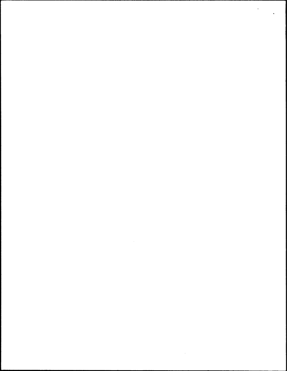$\frac{1}{2} \sum_{i=1}^n \frac{1}{2} \sum_{j=1}^n \frac{1}{2} \sum_{j=1}^n \frac{1}{2} \sum_{j=1}^n \frac{1}{2} \sum_{j=1}^n \frac{1}{2} \sum_{j=1}^n \frac{1}{2} \sum_{j=1}^n \frac{1}{2} \sum_{j=1}^n \frac{1}{2} \sum_{j=1}^n \frac{1}{2} \sum_{j=1}^n \frac{1}{2} \sum_{j=1}^n \frac{1}{2} \sum_{j=1}^n \frac{1}{2} \sum_{j=1}^n \frac{1}{2} \sum_{j=$ 

# $\label{eq:2.1} \frac{1}{\sqrt{2}}\int_{\mathbb{R}^3}\frac{1}{\sqrt{2}}\left(\frac{1}{\sqrt{2}}\right)^2\frac{1}{\sqrt{2}}\left(\frac{1}{\sqrt{2}}\right)^2\frac{1}{\sqrt{2}}\left(\frac{1}{\sqrt{2}}\right)^2\frac{1}{\sqrt{2}}\left(\frac{1}{\sqrt{2}}\right)^2.$

 $\mathcal{L}^{\text{max}}_{\text{max}}$  ,  $\mathcal{L}^{\text{max}}_{\text{max}}$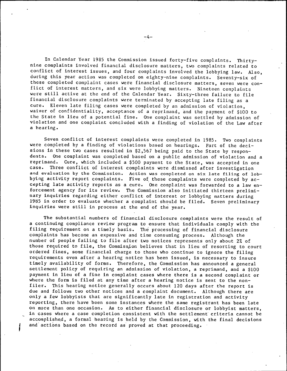In Calendar Year 1985 the Commission issued forty-five complaints. Thirtynine complaints involved financial disclosure matters, two complaints related to conflict of interest issues, and four complaints involved the lobbying law. Also, during this year action was completed on eighty-nine complaints. Seventy-six of these completed complaint cases were financial disclosure matters, seven were conflict of interest matters, and six were lobbying matters. Nineteen complaints were still active at the end of the Calendar Year. Sixty-three failure to file financial disclosure complaints were terminated by accepting late filing as a cure. Eleven late filing cases were completed by an admission of violation, waiver of confidentiality, acceptance of a reprimand, and the payment of \$100 to the State in lieu of a potential fine. One complaint was settled by admission of violation and one complaint concluded with a finding of violation of the Law after a hearing.

Seven conflict of interest complaints were completed in 1985. Two complaints were completed by a finding of violations based on hearings. Part of the decisions in these two cases resulted in \$2,567 being paid to the State by respondents. One complaint was completed based on a public admission of violation and a reprimand. Cure, which included a \$500 payment to the State, was accepted in one case. Three conflict of interest complaints were dismissed after investigation and evaluation by the Commission. Action was completed on six late filing of lobbying activity report complaints. Five of these complaints were completed by accepting late activity reports as a cure. One complaint was forwarded to a law enforcement agency for its review. The Commission also initiated thirteen preliminary inquiries regarding either conflict of interest or lobbying matters during 1985 in order to evaluate whether a complaint should be filed. Seven preliminary inquiries were still in process at the end of the year.

The substantial numbers of financial disclosure complaints were the result of a continuing compliance review program to ensure that individuals comply with the filing requirement on a timely basis. The processing of financial disclosure complaints has become an expensive and time consuming process. Although the number of people failing to file after two notices represents only about 2% of those required to file, the Commission believes that in lieu of resorting to court ordered fines, some financial charge to those who continue to ignore the filing requirements even after a hearing notice has been issued, is necessary to insure timely availability of forms. Therefore, the Commission has announced a general settlement policy of requiring an admission of violation, a reprimand, and a \$100 payment in lieu of a fine in complaint cases where there is a second complaint or where the form is filed at any time after a hearing notice is sent to the nonfiler. This hearing notice generally occurs about 120 days after the report is due and follows two other notices and a complaint document. Although there are only a few lobbyists that are significantly late in registration and activity reporting, there have been some instances where the same registrant has been late on more than one occasion. As to either financial disclosure or lobbyist matters, in cases where a case completion consistent with the settlement criteria cannot be accomplished, a formal hearing is held by the Commission, with the final decisions and actions based on the record as proved at that proceeding.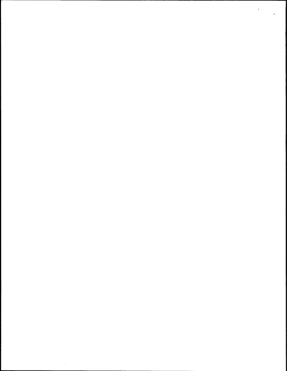$\label{eq:2} \frac{1}{\sqrt{2\pi}}\sum_{i=1}^n\frac{1}{\sqrt{2\pi}}\int_{\mathbb{R}^n}e^{i\omega t}dt$ 

 $\mathcal{L}^{\text{max}}_{\text{max}}$  and  $\mathcal{L}^{\text{max}}_{\text{max}}$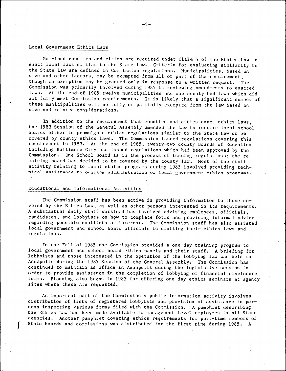## Local Government Ethics Laws

Maryland counties and cities are required under Title 6 of the Ethics Law to enact local laws similar to the State law. Criteria for evaluating similarity to the State Law are defined in Commission regulations. Municipalities, based on size and other factors, may be exempted from all or part of the requirement, though an exemption may be granted only in response to a written request. The Commission was primarily involved during 1985 in reviewing amendments to enacted laws. At the end of 1985 twelve municipalities and one county had laws which did not fully meet Commission requirements. It is likely that a significant number of these municipalities will be fully or partially exempted from the law based on size and related considerations.

In addition to the requirement that counties and cities enact ethics laws, the 1983 Session of the General Assembly amended the Law to require local school boards either to promulgate ethics regulations similar to the State Law or be covered by county ethics laws. The Commission issued regulations covering this requirement in 1983. At the end of 1985, twenty-two county Boards of Education including Baltimore City had issued regulations which had been approved by the Commission. One School Board is in the process of issuing regulations; the remaining board has decided to be covered by the county law. Most of the staff activity relating to local ethics programs during 1985 involved providing tech $n$ ical assistance to ongoing administration of local government ethics programs.

## Educational and Informational Activities

The Commission staff has been active in providing information to those covered by the Ethics Law, as well as other persons interested in its requirements. A substantial daily staff workload has involved advising employees, officials, candidates, and lobbyists on how to complete forms and providing informal advice regarding possible conflicts of interest. The Commission staff has also assisted local government and school board officials in drafting their ethics laws and regulations.

In the Fall of 1985 the Commission provided a one day training program to local government and school board ethics panels and their staff. A briefing for lobbyists and those interested in the operation of the lobbying law was held in Annapolis during the 1985 Session of the General Assembly. The Commission has continued to maintain an office in Annapolis during the legislative session in order to provide assistance in the completion of lobbying or financial disclosure forms. Planning also began in 1985 for offering one day ethics seminars at agency sites where these are requested.

An important part of the Commission's public information activity involves distribution of lists of registered lobbyists and provision of assistance to persons inspecting various forms filed with the Commission. A pamphlet describing the Ethics Law has been made available to management level employees in all State agencies. Another pamphlet covering ethics requirements for part-time members of State boards and commissions was distributed for the first time during 1985. A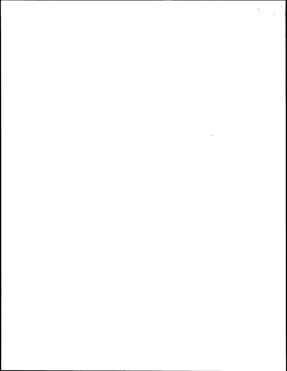$\label{eq:2.1} \mathcal{L}(\mathcal{L}^{\text{max}}_{\mathcal{L}}(\mathcal{L}^{\text{max}}_{\mathcal{L}}))\leq \mathcal{L}(\mathcal{L}^{\text{max}}_{\mathcal{L}}(\mathcal{L}^{\text{max}}_{\mathcal{L}}))$ 

 $\label{eq:2.1} \frac{1}{\sqrt{2\pi}}\int_{0}^{\infty}\frac{1}{\sqrt{2\pi}}\left(\frac{1}{\sqrt{2\pi}}\right)^{2\alpha} \frac{1}{\sqrt{2\pi}}\int_{0}^{\infty}\frac{1}{\sqrt{2\pi}}\left(\frac{1}{\sqrt{2\pi}}\right)^{\alpha} \frac{1}{\sqrt{2\pi}}\frac{1}{\sqrt{2\pi}}\int_{0}^{\infty}\frac{1}{\sqrt{2\pi}}\frac{1}{\sqrt{2\pi}}\frac{1}{\sqrt{2\pi}}\frac{1}{\sqrt{2\pi}}\frac{1}{\sqrt{2\pi}}\frac{1}{\sqrt{2\$ 

 $\label{eq:2} \frac{1}{\sqrt{2}}\sum_{i=1}^n\frac{1}{\sqrt{2}}\sum_{i=1}^n\frac{1}{\sqrt{2}}\sum_{i=1}^n\frac{1}{\sqrt{2}}\sum_{i=1}^n\frac{1}{\sqrt{2}}\sum_{i=1}^n\frac{1}{\sqrt{2}}\sum_{i=1}^n\frac{1}{\sqrt{2}}\sum_{i=1}^n\frac{1}{\sqrt{2}}\sum_{i=1}^n\frac{1}{\sqrt{2}}\sum_{i=1}^n\frac{1}{\sqrt{2}}\sum_{i=1}^n\frac{1}{\sqrt{2}}\sum_{i=1}^n\frac{1$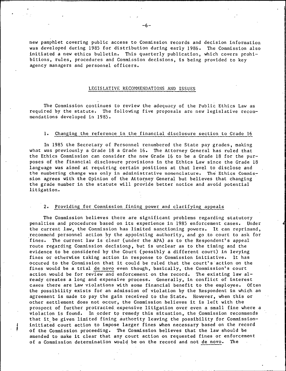new pamphlet covering public access to Commission records and decision information was developed during 1985 for distribution during early 1986. The Commission also initiated a new ethics bulletin. This quarterly publication, which covers prohibitions, rules, procedures and Commission decisions, is being provided to key agency managers and personnel officers.

## LEGISLATIVE RECOMMENDATIONS AND ISSUES

The Commission continues to review the adequacy of the Public Ethics Law as required by the statute. The following five proposals are new legislative recommendations developed in 1985.

## 1. Changing the reference in the financial disclosure section to Grade 16

In 1985 the Secretary of Personnel renumbered the State pay grades, making what was previously a Grade 18 a Grade 16. The Attorney General has ruled that the Ethics Commission can consider the new Grade 16 to be a Grade 18 for the purposes of the financial disclosure provisions in the Ethics Law since the Grade 18 language was aimed at requiring certain positions at that level to disclose and the numbering change was only in administrative nomenclature. The Ethics Commission agrees with the Opinion of the Attorney General but believes that changing the grade number in the statute will provide better notice and avoid potential litigation.

### 2. Providing for Commission fining power and clarifying appeals

The Commission believes there are significant problems regarding statutory penalties and procedures based on its experience in 1985 enforcement cases. Under the current law, the Commission has limited sanctioning powers. It can reprimand, recommend personnel action by the appointing authority, and go to court to ask for fines. The current law is clear (under the APA) as to the Respondent's appeal route regarding Commission decisions, but is unclear as to the timing and the evidence to be considered by the Court (possibly a different court) in levying fines or otherwise taking action in response to Commission initiative. It has occured to the Commission that it could be ruled that the court's action on the fines would be a trial de novo even though, basically, the Commission's court action would be for review and enforcement on the record. The existing law already creates a long and expensive process. Generally, In conflict of interest cases there are Law violations with some financial benefit to the employee. Often the possibility exists for an admission of violation by the Respondent in which an agreement is made to pay the gain received to the State. However, when this or other settlement does not occur, the Commission believes it Is left with the prospect of further protracted expensive litigation over even a small fine where a violation is found. In order to remedy this situation, the Commission recommends that it be given limited fining authority leaving the possibility for Commissioninitiated court action to impose larger fines when necessary based on the record of the Commission proceeding. The Commission believes that the law should be amended to make it clear that any court action on requested fines or enforcement of a Commission determination would be on the record and not de novo. The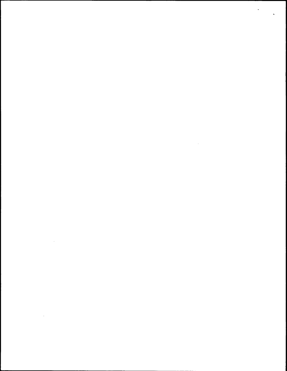$\label{eq:2.1} \mathcal{L}(\mathcal{L}^{\text{max}}_{\mathcal{L}}(\mathcal{L}^{\text{max}}_{\mathcal{L}})) \leq \mathcal{L}(\mathcal{L}^{\text{max}}_{\mathcal{L}}(\mathcal{L}^{\text{max}}_{\mathcal{L}}))$ 

 $\label{eq:2.1} \frac{1}{\sqrt{2}}\int_{\mathbb{R}^3}\frac{1}{\sqrt{2}}\left(\frac{1}{\sqrt{2}}\right)^2\frac{1}{\sqrt{2}}\left(\frac{1}{\sqrt{2}}\right)^2\frac{1}{\sqrt{2}}\left(\frac{1}{\sqrt{2}}\right)^2\frac{1}{\sqrt{2}}\left(\frac{1}{\sqrt{2}}\right)^2.$ 

 $\frac{1}{2} \sum_{i=1}^n \frac{1}{2} \sum_{j=1}^n \frac{1}{2} \sum_{j=1}^n \frac{1}{2} \sum_{j=1}^n \frac{1}{2} \sum_{j=1}^n \frac{1}{2} \sum_{j=1}^n \frac{1}{2} \sum_{j=1}^n \frac{1}{2} \sum_{j=1}^n \frac{1}{2} \sum_{j=1}^n \frac{1}{2} \sum_{j=1}^n \frac{1}{2} \sum_{j=1}^n \frac{1}{2} \sum_{j=1}^n \frac{1}{2} \sum_{j=1}^n \frac{1}{2} \sum_{j=$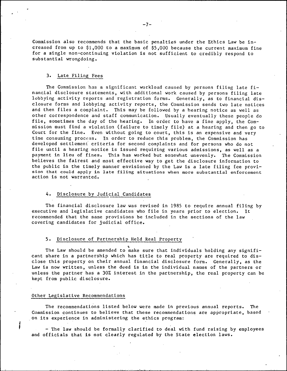Commission also recommends that the basic penalties under the Ethics Law be increased from up to \$1,000 to a maximum of \$5,000 because the current maximum fine for a single non-continuing violation is not sufficient to credibly respond to substantial wrongdoing.

## 3. Late Filing Fees

The Commission has a significant workload caused by persons filing late financial disclosure statements, with additional work caused by persons filing late lobbying activity reports and registration forms. Generally, as to financial disclosure forms and lobbying activity reports, the Commission sends two late notices and then files a complaint. This may be followed by a hearing notice as well as other correspondence and staff communication. Usually eventually these people do file, sometimes the day of the hearing. In order to have a fine apply, the Commission must find a violation (failure to timely file) at a hearing and then go to Court for the fine. Even without going to court, this is an expensive and very time consuming process. In order to reduce this problem, the Commission has developed settlement criteria for second complaints and for persons who do not file until a hearing notice is issued requiring various admissions, as well as a payment in lieu of fines. This has worked but somewhat unevenly. The Commission believes the fairest and most effective way to get the disclosure information to the public in the timely manner envisioned by the Law is a late filing fee provision that **could apply** in late filing situations when more substantial enforcement action is not warranted.

## 4. Disclosure by Judicial Candidates

The financial disclosure law was revised in 1985 to require annual filing by executive and legislative candidates who file in years prior to election. It recommended that the same provisions be included in the sections of the law covering candidates for judicial office.

## 5. Disclosure of Partnership Held Real Property

The Law should be amended to make sure that individuals holding any significant share in a partnership which has title to real property are required to disclose this property on their annual financial disclosure form. Generally, as the Law Is now written, unless the deed is in the individual names of the partners or unless the partner has a 30% interest in the partnership, the real property can be kept from public disclosure.

#### Other Legislative Recommendations

The recommendations listed below were made in previous annual reports. The Commission continues to believe that these recommendations are appropriate, based on its experience in administering the ethics program:

- The law should be formally clarified to deal with fund raising by employees and officials that is not clearly regulated by the State election laws.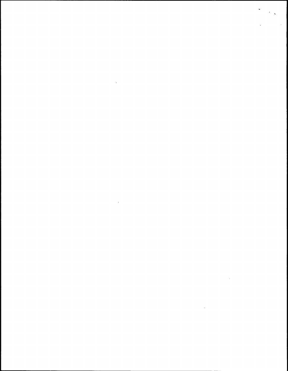$\mathcal{L}(\mathcal{L}(\mathcal{L}))$  and  $\mathcal{L}(\mathcal{L}(\mathcal{L}))$  . The contribution of the contribution of  $\mathcal{L}(\mathcal{L})$  $\label{eq:2.1} \mathcal{L}(\mathcal{L}^{\mathcal{L}}_{\mathcal{L}}(\mathcal{L}^{\mathcal{L}}_{\mathcal{L}})) = \mathcal{L}(\mathcal{L}^{\mathcal{L}}_{\mathcal{L}}(\mathcal{L}^{\mathcal{L}}_{\mathcal{L}})) = \mathcal{L}(\mathcal{L}^{\mathcal{L}}_{\mathcal{L}}(\mathcal{L}^{\mathcal{L}}_{\mathcal{L}})) = \mathcal{L}(\mathcal{L}^{\mathcal{L}}_{\mathcal{L}}(\mathcal{L}^{\mathcal{L}}_{\mathcal{L}}))$ 

 $\label{eq:2.1} \frac{1}{\sqrt{2}}\left(\frac{1}{\sqrt{2}}\right)^{2} \left(\frac{1}{\sqrt{2}}\right)^{2} \left(\frac{1}{\sqrt{2}}\right)^{2} \left(\frac{1}{\sqrt{2}}\right)^{2} \left(\frac{1}{\sqrt{2}}\right)^{2} \left(\frac{1}{\sqrt{2}}\right)^{2} \left(\frac{1}{\sqrt{2}}\right)^{2} \left(\frac{1}{\sqrt{2}}\right)^{2} \left(\frac{1}{\sqrt{2}}\right)^{2} \left(\frac{1}{\sqrt{2}}\right)^{2} \left(\frac{1}{\sqrt{2}}\right)^{2} \left(\$  $\label{eq:2.1} \mathcal{L}(\mathcal{L}^{\text{max}}_{\mathcal{L}}(\mathcal{L}^{\text{max}}_{\mathcal{L}}(\mathcal{L}^{\text{max}}_{\mathcal{L}}(\mathcal{L}^{\text{max}}_{\mathcal{L}^{\text{max}}_{\mathcal{L}}})))))$ 

 $\label{eq:2} \frac{1}{\sqrt{2}}\left(\frac{1}{\sqrt{2}}\right)^{2} \left(\frac{1}{\sqrt{2}}\right)^{2} \left(\frac{1}{\sqrt{2}}\right)^{2}$  $\label{eq:2.1} \frac{1}{\sqrt{2\pi}}\int_{\mathbb{R}^3}\frac{1}{\sqrt{2\pi}}\int_{\mathbb{R}^3}\frac{1}{\sqrt{2\pi}}\int_{\mathbb{R}^3}\frac{1}{\sqrt{2\pi}}\int_{\mathbb{R}^3}\frac{1}{\sqrt{2\pi}}\int_{\mathbb{R}^3}\frac{1}{\sqrt{2\pi}}\frac{1}{\sqrt{2\pi}}\frac{1}{\sqrt{2\pi}}\frac{1}{\sqrt{2\pi}}\frac{1}{\sqrt{2\pi}}\frac{1}{\sqrt{2\pi}}\frac{1}{\sqrt{2\pi}}\frac{1}{\sqrt{2\pi}}$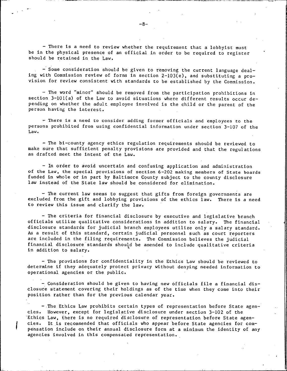- There is a need to review whether the requirement that a lobbyist must be in the physical presence of an official in order to be required to register should be retained in the Law.

- Some consideration should be given to removing the current language dealing with Commission review of forms in section 2-103(e), and substituting a provision for review consistent with standards to be established by the Commission.

- The word "minor" should be removed from the participation prohibitions in section 3-101(a) of the Law to avoid situations where different results occur depending on whether the adult employee involved is the child or the parent of the person, having the interest.

- There is a need to consider adding former officials and employees to the persons prohibited from using confidential information under section 3-107 of the Law.

- The bi-county agency ethics regulation requirements should be reviewed to make sure that sufficient penalty provisions are provided and that the regulations as drafted meet the intent of the Law.

- In order to avoid uncertain and confusing application and administration of the Law, the special provisions of section 6-202 making members of State boards funded in whole or in part by Baltimore County subject to the county disclosure law instead of the State law should be considered for elimination.

- The current law seems to suggest that gifts from foreign governments are excluded from the gift and lobbying provisions of the ethics law. There is a need to review this issue and clarify the law.

- The criteria for financial disclosure by executive and legislative branch officials utilize qualitative considerations In addition to salary. The financial disclosure standards for judicial branch employees utilize only a salary standard. As a result of this standard, certain judicial personnel such as court reporters are included in the filing requirements. The Commission believes the judicial financial disclosure standards should be amended to include qualitative criteria in addition to salary.

- The provisions for confidentiality In the Ethics Law should be reviewed to determine if they adequately protect privacy without denying needed information to operational agencies or the public.

- Consideration should be given to having new officials file a financial disclosure statement covering their holdings as of the time when they come into their position rather than for the previous calendar year.

- The Ethics Law prohibits certain types of representation before State agencies. However, except for legislative disclosure under section 3-102 of the Ethics Law, there is no required disclosure of representation before State agencies. It is recommended that officials who appear before State agencies for compensation include on their annual disclosure form at a minimum the identity of any agencies involved in this compensated representation.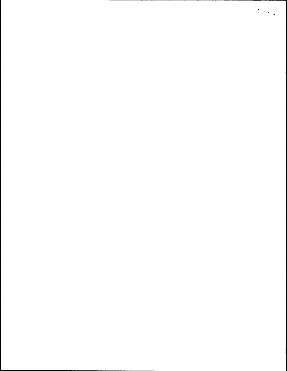$\frac{1}{2} \sum_{i=1}^{n} \frac{1}{2} \sum_{j=1}^{n} \frac{1}{2} \sum_{j=1}^{n} \frac{1}{2} \sum_{j=1}^{n} \frac{1}{2} \sum_{j=1}^{n} \frac{1}{2} \sum_{j=1}^{n} \frac{1}{2} \sum_{j=1}^{n} \frac{1}{2} \sum_{j=1}^{n} \frac{1}{2} \sum_{j=1}^{n} \frac{1}{2} \sum_{j=1}^{n} \frac{1}{2} \sum_{j=1}^{n} \frac{1}{2} \sum_{j=1}^{n} \frac{1}{2} \sum_{j=1}^{n$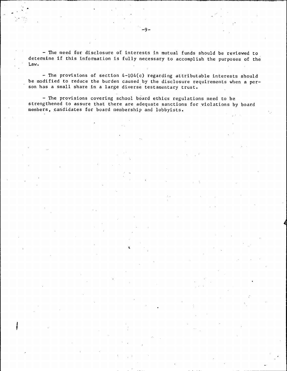- The need for disclosure of interests in mutual funds should be reviewed to determine if this information is fully necessary to accomplish the purposes of the Law.

- The provisions of section 4-104(c) regarding attributable interests should be modified to reduce the burden caused by the disclosure requirements when a person has a small share in a large diverse testamentary trust.

- The provisions covering school board ethics regulations need to be strengthened to assure that there are adequate sanctions for violations by board members, candidates for board membership and lobbyists.

۔ ۹.